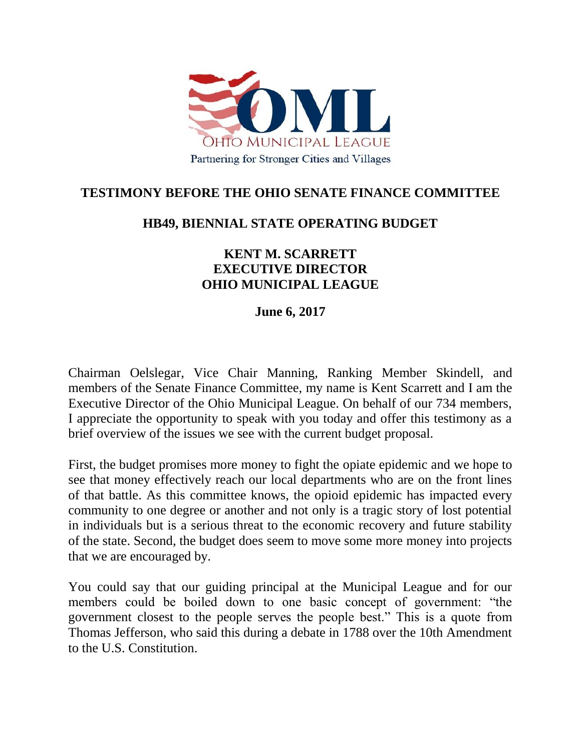

## **TESTIMONY BEFORE THE OHIO SENATE FINANCE COMMITTEE**

## **HB49, BIENNIAL STATE OPERATING BUDGET**

## **KENT M. SCARRETT EXECUTIVE DIRECTOR OHIO MUNICIPAL LEAGUE**

## **June 6, 2017**

Chairman Oelslegar, Vice Chair Manning, Ranking Member Skindell, and members of the Senate Finance Committee, my name is Kent Scarrett and I am the Executive Director of the Ohio Municipal League. On behalf of our 734 members, I appreciate the opportunity to speak with you today and offer this testimony as a brief overview of the issues we see with the current budget proposal.

First, the budget promises more money to fight the opiate epidemic and we hope to see that money effectively reach our local departments who are on the front lines of that battle. As this committee knows, the opioid epidemic has impacted every community to one degree or another and not only is a tragic story of lost potential in individuals but is a serious threat to the economic recovery and future stability of the state. Second, the budget does seem to move some more money into projects that we are encouraged by.

You could say that our guiding principal at the Municipal League and for our members could be boiled down to one basic concept of government: "the government closest to the people serves the people best." This is a quote from Thomas Jefferson, who said this during a debate in 1788 over the 10th Amendment to the U.S. Constitution.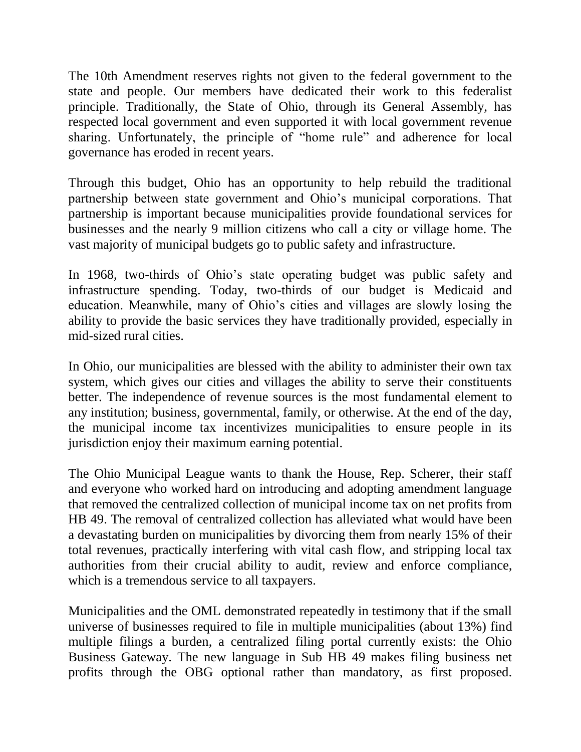The 10th Amendment reserves rights not given to the federal government to the state and people. Our members have dedicated their work to this federalist principle. Traditionally, the State of Ohio, through its General Assembly, has respected local government and even supported it with local government revenue sharing. Unfortunately, the principle of "home rule" and adherence for local governance has eroded in recent years.

Through this budget, Ohio has an opportunity to help rebuild the traditional partnership between state government and Ohio's municipal corporations. That partnership is important because municipalities provide foundational services for businesses and the nearly 9 million citizens who call a city or village home. The vast majority of municipal budgets go to public safety and infrastructure.

In 1968, two-thirds of Ohio's state operating budget was public safety and infrastructure spending. Today, two-thirds of our budget is Medicaid and education. Meanwhile, many of Ohio's cities and villages are slowly losing the ability to provide the basic services they have traditionally provided, especially in mid-sized rural cities.

In Ohio, our municipalities are blessed with the ability to administer their own tax system, which gives our cities and villages the ability to serve their constituents better. The independence of revenue sources is the most fundamental element to any institution; business, governmental, family, or otherwise. At the end of the day, the municipal income tax incentivizes municipalities to ensure people in its jurisdiction enjoy their maximum earning potential.

The Ohio Municipal League wants to thank the House, Rep. Scherer, their staff and everyone who worked hard on introducing and adopting amendment language that removed the centralized collection of municipal income tax on net profits from HB 49. The removal of centralized collection has alleviated what would have been a devastating burden on municipalities by divorcing them from nearly 15% of their total revenues, practically interfering with vital cash flow, and stripping local tax authorities from their crucial ability to audit, review and enforce compliance, which is a tremendous service to all taxpayers.

Municipalities and the OML demonstrated repeatedly in testimony that if the small universe of businesses required to file in multiple municipalities (about 13%) find multiple filings a burden, a centralized filing portal currently exists: the Ohio Business Gateway. The new language in Sub HB 49 makes filing business net profits through the OBG optional rather than mandatory, as first proposed.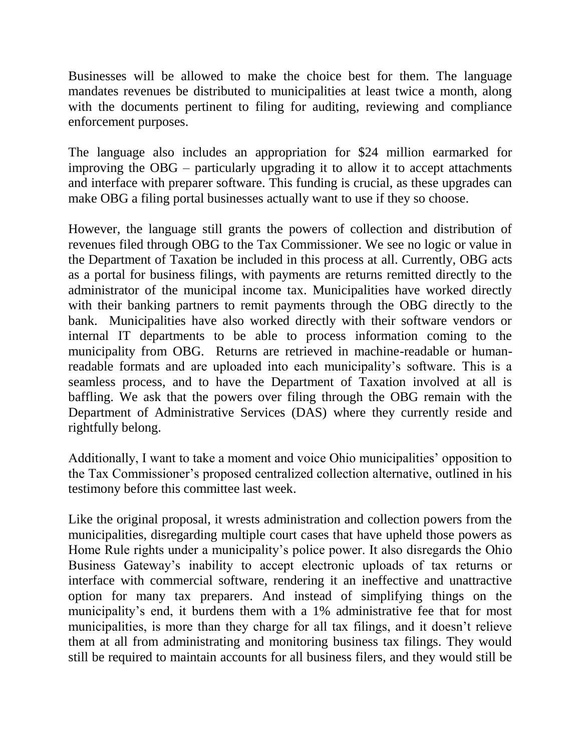Businesses will be allowed to make the choice best for them. The language mandates revenues be distributed to municipalities at least twice a month, along with the documents pertinent to filing for auditing, reviewing and compliance enforcement purposes.

The language also includes an appropriation for \$24 million earmarked for improving the OBG – particularly upgrading it to allow it to accept attachments and interface with preparer software. This funding is crucial, as these upgrades can make OBG a filing portal businesses actually want to use if they so choose.

However, the language still grants the powers of collection and distribution of revenues filed through OBG to the Tax Commissioner. We see no logic or value in the Department of Taxation be included in this process at all. Currently, OBG acts as a portal for business filings, with payments are returns remitted directly to the administrator of the municipal income tax. Municipalities have worked directly with their banking partners to remit payments through the OBG directly to the bank. Municipalities have also worked directly with their software vendors or internal IT departments to be able to process information coming to the municipality from OBG. Returns are retrieved in machine-readable or humanreadable formats and are uploaded into each municipality's software. This is a seamless process, and to have the Department of Taxation involved at all is baffling. We ask that the powers over filing through the OBG remain with the Department of Administrative Services (DAS) where they currently reside and rightfully belong.

Additionally, I want to take a moment and voice Ohio municipalities' opposition to the Tax Commissioner's proposed centralized collection alternative, outlined in his testimony before this committee last week.

Like the original proposal, it wrests administration and collection powers from the municipalities, disregarding multiple court cases that have upheld those powers as Home Rule rights under a municipality's police power. It also disregards the Ohio Business Gateway's inability to accept electronic uploads of tax returns or interface with commercial software, rendering it an ineffective and unattractive option for many tax preparers. And instead of simplifying things on the municipality's end, it burdens them with a 1% administrative fee that for most municipalities, is more than they charge for all tax filings, and it doesn't relieve them at all from administrating and monitoring business tax filings. They would still be required to maintain accounts for all business filers, and they would still be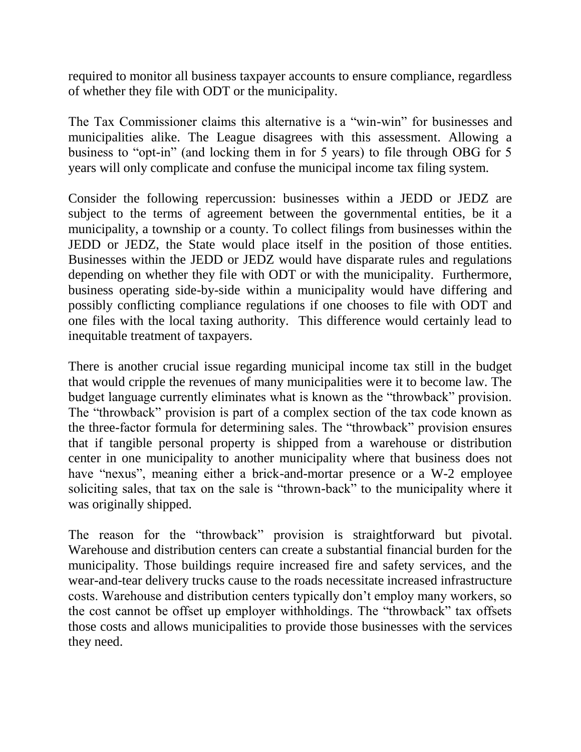required to monitor all business taxpayer accounts to ensure compliance, regardless of whether they file with ODT or the municipality.

The Tax Commissioner claims this alternative is a "win-win" for businesses and municipalities alike. The League disagrees with this assessment. Allowing a business to "opt-in" (and locking them in for 5 years) to file through OBG for 5 years will only complicate and confuse the municipal income tax filing system.

Consider the following repercussion: businesses within a JEDD or JEDZ are subject to the terms of agreement between the governmental entities, be it a municipality, a township or a county. To collect filings from businesses within the JEDD or JEDZ, the State would place itself in the position of those entities. Businesses within the JEDD or JEDZ would have disparate rules and regulations depending on whether they file with ODT or with the municipality. Furthermore, business operating side-by-side within a municipality would have differing and possibly conflicting compliance regulations if one chooses to file with ODT and one files with the local taxing authority. This difference would certainly lead to inequitable treatment of taxpayers.

There is another crucial issue regarding municipal income tax still in the budget that would cripple the revenues of many municipalities were it to become law. The budget language currently eliminates what is known as the "throwback" provision. The "throwback" provision is part of a complex section of the tax code known as the three-factor formula for determining sales. The "throwback" provision ensures that if tangible personal property is shipped from a warehouse or distribution center in one municipality to another municipality where that business does not have "nexus", meaning either a brick-and-mortar presence or a W-2 employee soliciting sales, that tax on the sale is "thrown-back" to the municipality where it was originally shipped.

The reason for the "throwback" provision is straightforward but pivotal. Warehouse and distribution centers can create a substantial financial burden for the municipality. Those buildings require increased fire and safety services, and the wear-and-tear delivery trucks cause to the roads necessitate increased infrastructure costs. Warehouse and distribution centers typically don't employ many workers, so the cost cannot be offset up employer withholdings. The "throwback" tax offsets those costs and allows municipalities to provide those businesses with the services they need.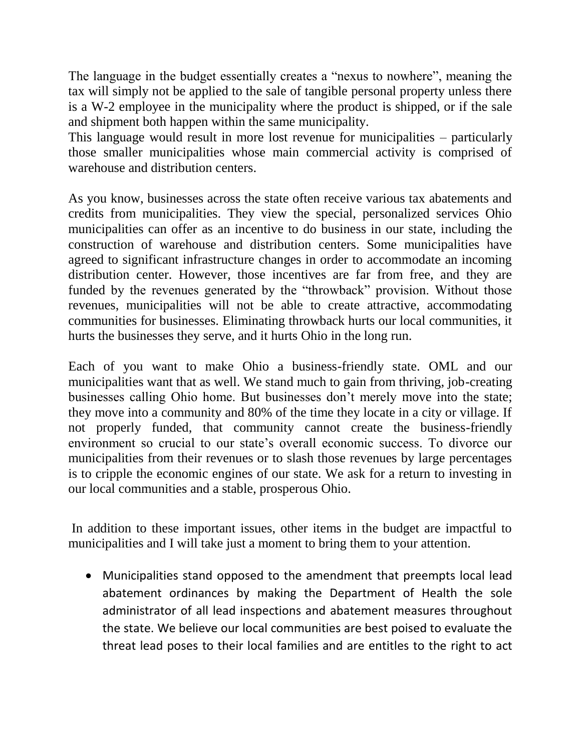The language in the budget essentially creates a "nexus to nowhere", meaning the tax will simply not be applied to the sale of tangible personal property unless there is a W-2 employee in the municipality where the product is shipped, or if the sale and shipment both happen within the same municipality.

This language would result in more lost revenue for municipalities – particularly those smaller municipalities whose main commercial activity is comprised of warehouse and distribution centers.

As you know, businesses across the state often receive various tax abatements and credits from municipalities. They view the special, personalized services Ohio municipalities can offer as an incentive to do business in our state, including the construction of warehouse and distribution centers. Some municipalities have agreed to significant infrastructure changes in order to accommodate an incoming distribution center. However, those incentives are far from free, and they are funded by the revenues generated by the "throwback" provision. Without those revenues, municipalities will not be able to create attractive, accommodating communities for businesses. Eliminating throwback hurts our local communities, it hurts the businesses they serve, and it hurts Ohio in the long run.

Each of you want to make Ohio a business-friendly state. OML and our municipalities want that as well. We stand much to gain from thriving, job-creating businesses calling Ohio home. But businesses don't merely move into the state; they move into a community and 80% of the time they locate in a city or village. If not properly funded, that community cannot create the business-friendly environment so crucial to our state's overall economic success. To divorce our municipalities from their revenues or to slash those revenues by large percentages is to cripple the economic engines of our state. We ask for a return to investing in our local communities and a stable, prosperous Ohio.

In addition to these important issues, other items in the budget are impactful to municipalities and I will take just a moment to bring them to your attention.

 Municipalities stand opposed to the amendment that preempts local lead abatement ordinances by making the Department of Health the sole administrator of all lead inspections and abatement measures throughout the state. We believe our local communities are best poised to evaluate the threat lead poses to their local families and are entitles to the right to act